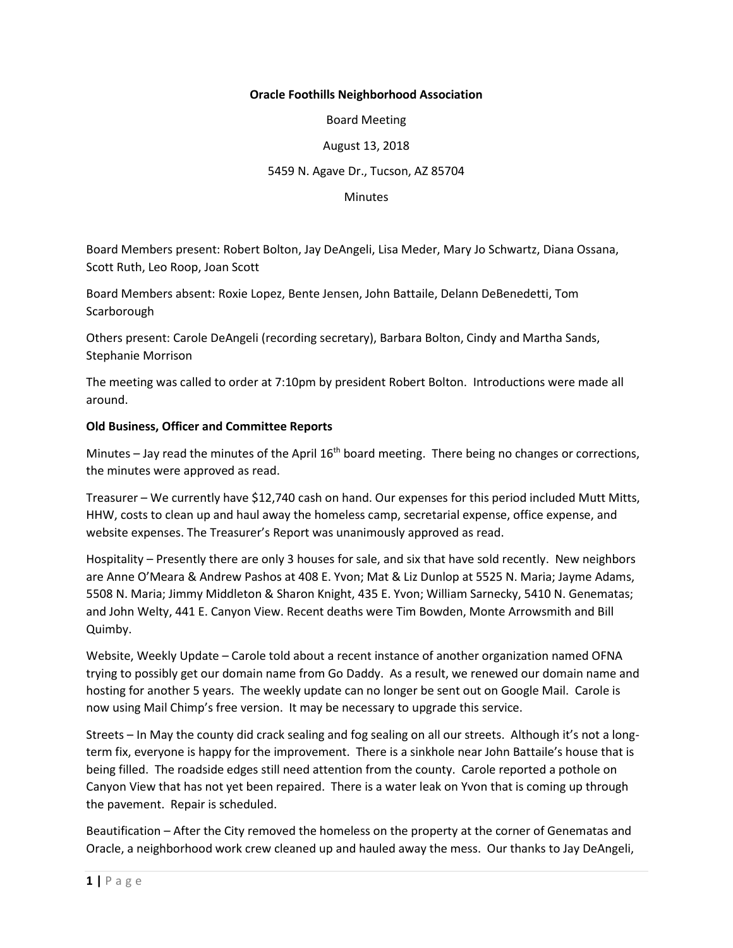## **Oracle Foothills Neighborhood Association**

Board Meeting

August 13, 2018

## 5459 N. Agave Dr., Tucson, AZ 85704

#### **Minutes**

Board Members present: Robert Bolton, Jay DeAngeli, Lisa Meder, Mary Jo Schwartz, Diana Ossana, Scott Ruth, Leo Roop, Joan Scott

Board Members absent: Roxie Lopez, Bente Jensen, John Battaile, Delann DeBenedetti, Tom **Scarborough** 

Others present: Carole DeAngeli (recording secretary), Barbara Bolton, Cindy and Martha Sands, Stephanie Morrison

The meeting was called to order at 7:10pm by president Robert Bolton. Introductions were made all around.

### **Old Business, Officer and Committee Reports**

Minutes – Jay read the minutes of the April  $16<sup>th</sup>$  board meeting. There being no changes or corrections, the minutes were approved as read.

Treasurer – We currently have \$12,740 cash on hand. Our expenses for this period included Mutt Mitts, HHW, costs to clean up and haul away the homeless camp, secretarial expense, office expense, and website expenses. The Treasurer's Report was unanimously approved as read.

Hospitality – Presently there are only 3 houses for sale, and six that have sold recently. New neighbors are Anne O'Meara & Andrew Pashos at 408 E. Yvon; Mat & Liz Dunlop at 5525 N. Maria; Jayme Adams, 5508 N. Maria; Jimmy Middleton & Sharon Knight, 435 E. Yvon; William Sarnecky, 5410 N. Genematas; and John Welty, 441 E. Canyon View. Recent deaths were Tim Bowden, Monte Arrowsmith and Bill Quimby.

Website, Weekly Update – Carole told about a recent instance of another organization named OFNA trying to possibly get our domain name from Go Daddy. As a result, we renewed our domain name and hosting for another 5 years. The weekly update can no longer be sent out on Google Mail. Carole is now using Mail Chimp's free version. It may be necessary to upgrade this service.

Streets – In May the county did crack sealing and fog sealing on all our streets. Although it's not a longterm fix, everyone is happy for the improvement. There is a sinkhole near John Battaile's house that is being filled. The roadside edges still need attention from the county. Carole reported a pothole on Canyon View that has not yet been repaired. There is a water leak on Yvon that is coming up through the pavement. Repair is scheduled.

Beautification – After the City removed the homeless on the property at the corner of Genematas and Oracle, a neighborhood work crew cleaned up and hauled away the mess. Our thanks to Jay DeAngeli,